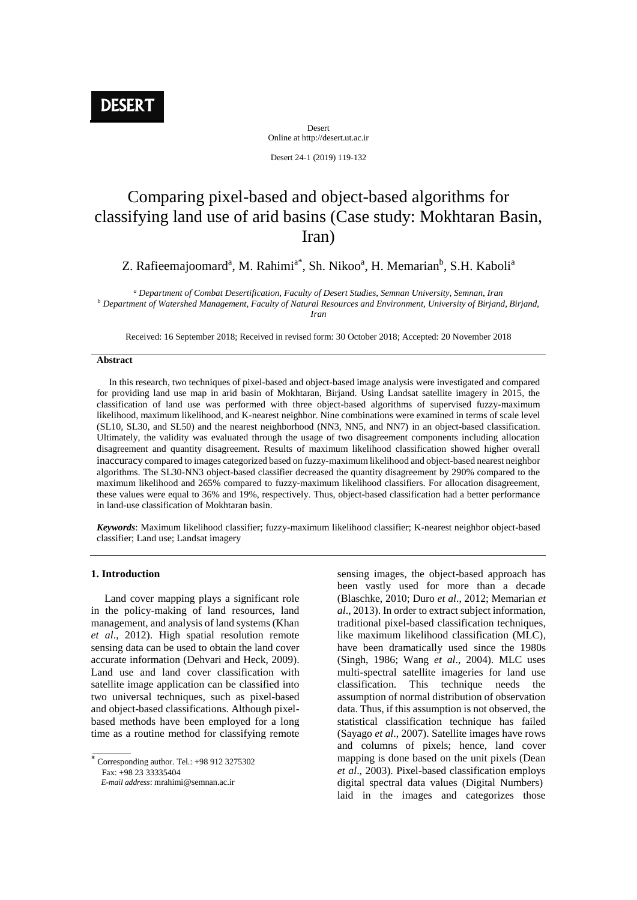Desert Online at http://desert.ut.ac.ir

Desert 24-1 (2019) 119-132

# Comparing pixel-based and object-based algorithms for classifying land use of arid basins (Case study: Mokhtaran Basin, Iran)

# Z. Rafieemajoomard<sup>a</sup>, M. Rahimi<sup>a\*</sup>, Sh. Nikoo<sup>a</sup>, H. Memarian<sup>b</sup>, S.H. Kaboli<sup>a</sup>

*<sup>a</sup> Department of Combat Desertification, Faculty of Desert Studies, Semnan University, Semnan, Iran <sup>b</sup> Department of Watershed Management, Faculty of Natural Resources and Environment, University of Birjand, Birjand, Iran*

Received: 16 September 2018; Received in revised form: 30 October 2018; Accepted: 20 November 2018

#### **Abstract**

 In this research, two techniques of pixel-based and object-based image analysis were investigated and compared for providing land use map in arid basin of Mokhtaran, Birjand. Using Landsat satellite imagery in 2015, the classification of land use was performed with three object-based algorithms of supervised fuzzy-maximum likelihood, maximum likelihood, and K-nearest neighbor. Nine combinations were examined in terms of scale level (SL10, SL30, and SL50) and the nearest neighborhood (NN3, NN5, and NN7) in an object-based classification. Ultimately, the validity was evaluated through the usage of two disagreement components including allocation disagreement and quantity disagreement. Results of maximum likelihood classification showed higher overall inaccuracy compared to images categorized based on fuzzy-maximum likelihood and object-based nearest neighbor algorithms. The SL30-NN3 object-based classifier decreased the quantity disagreement by 290% compared to the maximum likelihood and 265% compared to fuzzy-maximum likelihood classifiers. For allocation disagreement, these values were equal to 36% and 19%, respectively. Thus, object-based classification had a better performance in land-use classification of Mokhtaran basin.

*Keywords*: Maximum likelihood classifier; fuzzy-maximum likelihood classifier; K-nearest neighbor object-based classifier; Land use; Landsat imagery

# **1. Introduction**

 Land cover mapping plays a significant role in the policy-making of land resources, land management, and analysis of land systems (Khan *et al*., 2012). High spatial resolution remote sensing data can be used to obtain the land cover accurate information (Dehvari and Heck, 2009). Land use and land cover classification with satellite image application can be classified into two universal techniques, such as pixel-based and object-based classifications. Although pixelbased methods have been employed for a long time as a routine method for classifying remote

Fax: +98 23 33335404

sensing images, the object-based approach has been vastly used for more than a decade (Blaschke, 2010; Duro *et al*., 2012; Memarian *et al*., 2013). In order to extract subject information, traditional pixel-based classification techniques, like maximum likelihood classification (MLC), have been dramatically used since the 1980s (Singh, 1986; Wang *et al*., 2004). MLC uses multi-spectral satellite imageries for land use classification. This technique needs the assumption of normal distribution of observation data. Thus, if this assumption is not observed, the statistical classification technique has failed (Sayago *et al*., 2007). Satellite images have rows and columns of pixels; hence, land cover mapping is done based on the unit pixels (Dean *et al*., 2003). Pixel-based classification employs digital spectral data values (Digital Numbers) laid in the images and categorizes those

 $*$  Corresponding author. Tel.:  $+989123275302$ 

*E-mail address*: mrahimi@semnan.ac.ir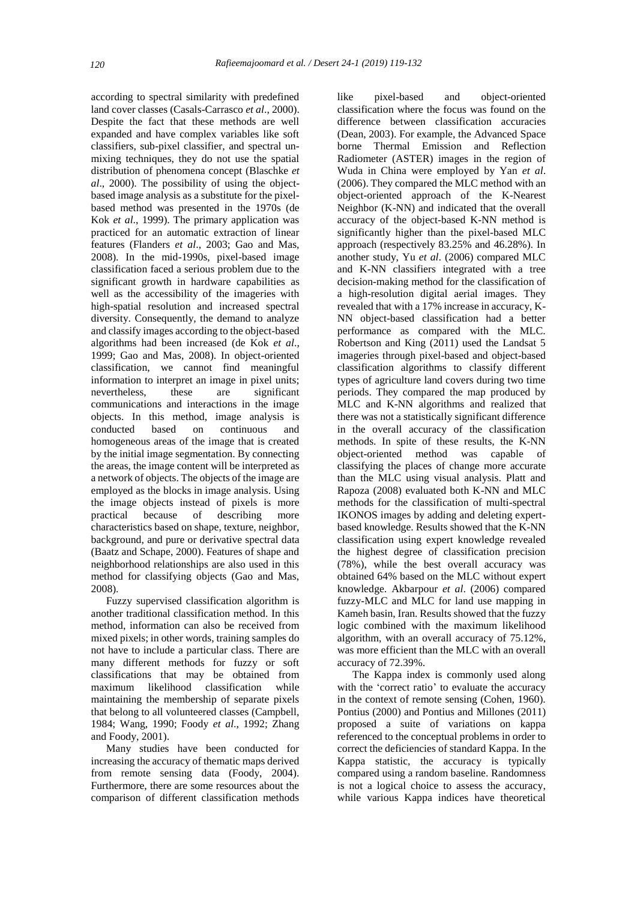according to spectral similarity with predefined land cover classes (Casals-Carrasco *et al*., 2000). Despite the fact that these methods are well expanded and have complex variables like soft classifiers, sub-pixel classifier, and spectral unmixing techniques, they do not use the spatial distribution of phenomena concept (Blaschke *et al*., 2000). The possibility of using the objectbased image analysis as a substitute for the pixelbased method was presented in the 1970s (de Kok *et al*., 1999). The primary application was practiced for an automatic extraction of linear features (Flanders *et al*., 2003; Gao and Mas, 2008). In the mid-1990s, pixel-based image classification faced a serious problem due to the significant growth in hardware capabilities as well as the accessibility of the imageries with high-spatial resolution and increased spectral diversity. Consequently, the demand to analyze and classify images according to the object-based algorithms had been increased (de Kok *et al*., 1999; Gao and Mas, 2008). In object-oriented classification, we cannot find meaningful information to interpret an image in pixel units; nevertheless, these are significant communications and interactions in the image objects. In this method, image analysis is conducted based on continuous and homogeneous areas of the image that is created by the initial image segmentation. By connecting the areas, the image content will be interpreted as a network of objects. The objects of the image are employed as the blocks in image analysis. Using the image objects instead of pixels is more practical because of describing more characteristics based on shape, texture, neighbor, background, and pure or derivative spectral data (Baatz and Schape, 2000). Features of shape and neighborhood relationships are also used in this method for classifying objects (Gao and Mas, 2008).

Fuzzy supervised classification algorithm is another traditional classification method. In this method, information can also be received from mixed pixels; in other words, training samples do not have to include a particular class. There are many different methods for fuzzy or soft classifications that may be obtained from maximum likelihood classification while maintaining the membership of separate pixels that belong to all volunteered classes (Campbell, 1984; Wang, 1990; Foody *et al*., 1992; Zhang and Foody, 2001).

Many studies have been conducted for increasing the accuracy of thematic maps derived from remote sensing data (Foody, 2004). Furthermore, there are some resources about the comparison of different classification methods

like pixel-based and object-oriented classification where the focus was found on the difference between classification accuracies (Dean, 2003). For example, the Advanced Space borne Thermal Emission and Reflection Radiometer (ASTER) images in the region of Wuda in China were employed by Yan *et al*. (2006). They compared the MLC method with an object-oriented approach of the K-Nearest Neighbor (K-NN) and indicated that the overall accuracy of the object-based K-NN method is significantly higher than the pixel-based MLC approach (respectively 83.25% and 46.28%). In another study, Yu *et al*. (2006) compared MLC and K-NN classifiers integrated with a tree decision-making method for the classification of a high-resolution digital aerial images. They revealed that with a 17% increase in accuracy, K-NN object-based classification had a better performance as compared with the MLC. Robertson and King (2011) used the Landsat 5 imageries through pixel-based and object-based classification algorithms to classify different types of agriculture land covers during two time periods. They compared the map produced by MLC and K-NN algorithms and realized that there was not a statistically significant difference in the overall accuracy of the classification methods. In spite of these results, the K-NN object-oriented method was capable of classifying the places of change more accurate than the MLC using visual analysis. Platt and Rapoza (2008) evaluated both K-NN and MLC methods for the classification of multi-spectral IKONOS images by adding and deleting expertbased knowledge. Results showed that the K-NN classification using expert knowledge revealed the highest degree of classification precision (78%), while the best overall accuracy was obtained 64% based on the MLC without expert knowledge. Akbarpour *et al*. (2006) compared fuzzy-MLC and MLC for land use mapping in Kameh basin, Iran. Results showed that the fuzzy logic combined with the maximum likelihood algorithm, with an overall accuracy of 75.12%, was more efficient than the MLC with an overall accuracy of 72.39%.

The Kappa index is commonly used along with the 'correct ratio' to evaluate the accuracy in the context of remote sensing (Cohen, 1960). Pontius (2000) and Pontius and Millones (2011) proposed a suite of variations on kappa referenced to the conceptual problems in order to correct the deficiencies of standard Kappa. In the Kappa statistic, the accuracy is typically compared using a random baseline. Randomness is not a logical choice to assess the accuracy, while various Kappa indices have theoretical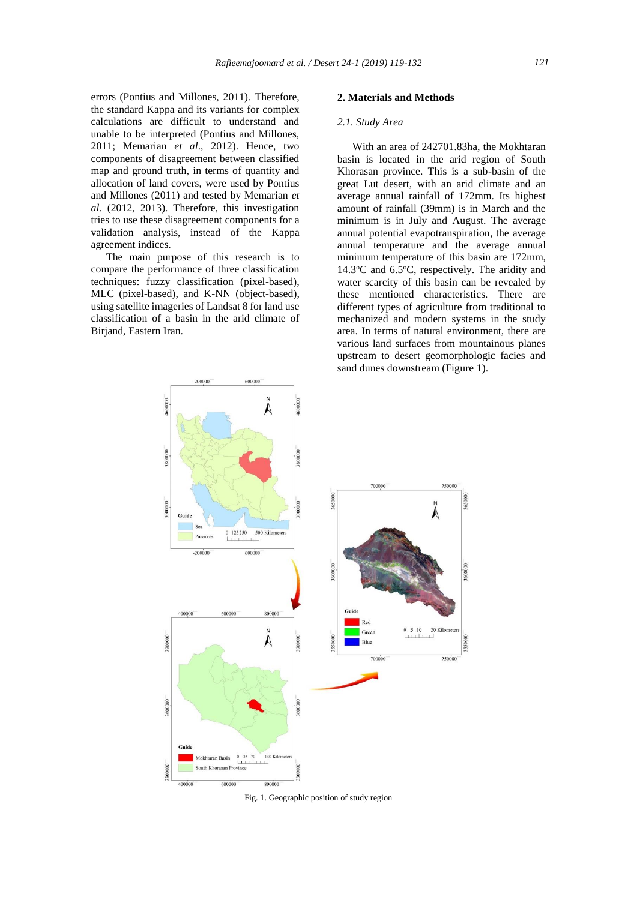errors (Pontius and Millones, 2011). Therefore, the standard Kappa and its variants for complex calculations are difficult to understand and unable to be interpreted (Pontius and Millones, 2011; Memarian *et al*., 2012). Hence, two components of disagreement between classified map and ground truth, in terms of quantity and allocation of land covers, were used by Pontius and Millones (2011) and tested by Memarian *et al*. (2012, 2013). Therefore, this investigation tries to use these disagreement components for a validation analysis, instead of the Kappa agreement indices.

The main purpose of this research is to compare the performance of three classification techniques: fuzzy classification (pixel-based), MLC (pixel-based), and K-NN (object-based), using satellite imageries of Landsat 8 for land use classification of a basin in the arid climate of Birjand, Eastern Iran.

#### **2. Materials and Methods**

#### *2.1. Study Area*

With an area of 242701.83ha, the Mokhtaran basin is located in the arid region of South Khorasan province. This is a sub-basin of the great Lut desert, with an arid climate and an average annual rainfall of 172mm. Its highest amount of rainfall (39mm) is in March and the minimum is in July and August. The average annual potential evapotranspiration, the average annual temperature and the average annual minimum temperature of this basin are 172mm, 14.3 $\degree$ C and 6.5 $\degree$ C, respectively. The aridity and water scarcity of this basin can be revealed by these mentioned characteristics. There are different types of agriculture from traditional to mechanized and modern systems in the study area. In terms of natural environment, there are various land surfaces from mountainous planes upstream to desert geomorphologic facies and sand dunes downstream (Figure 1).



Fig. 1. Geographic position of study region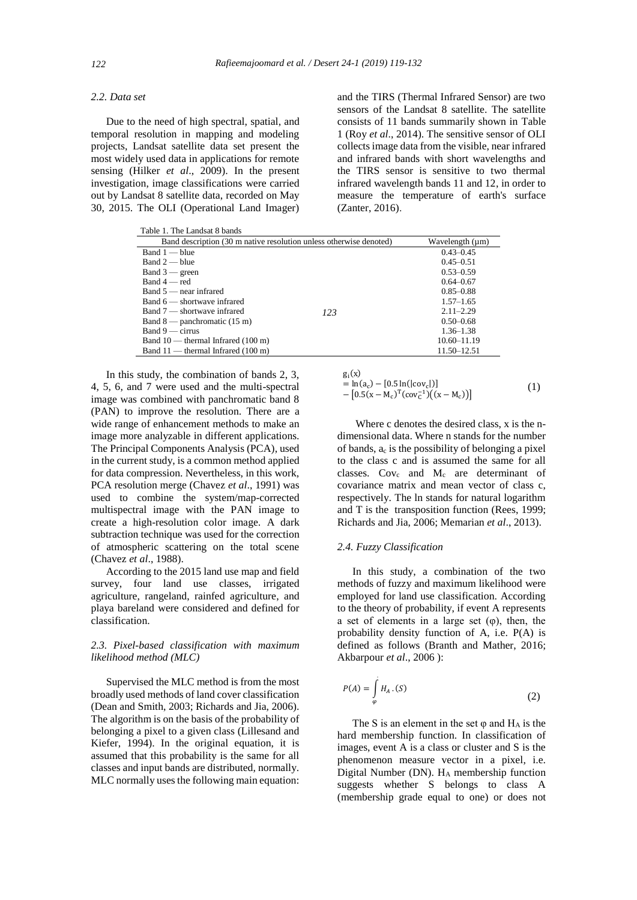# *2.2. Data set*

Due to the need of high spectral, spatial, and temporal resolution in mapping and modeling projects, Landsat satellite data set present the most widely used data in applications for remote sensing (Hilker *et al*., 2009). In the present investigation, image classifications were carried out by Landsat 8 satellite data, recorded on May 30, 2015. The OLI (Operational Land Imager) and the TIRS (Thermal Infrared Sensor) are two sensors of the Landsat 8 satellite. The satellite consists of 11 bands summarily shown in Table 1 (Roy *et al*., 2014). The sensitive sensor of OLI collects image data from the visible, near infrared and infrared bands with short wavelengths and the TIRS sensor is sensitive to two thermal infrared wavelength bands 11 and 12, in order to measure the temperature of earth's surface (Zanter, 2016).

| Table 1. The Landsat 8 bands<br>Band description (30 m native resolution unless otherwise denoted) | Wavelength (µm)                            |               |  |  |  |
|----------------------------------------------------------------------------------------------------|--------------------------------------------|---------------|--|--|--|
| $Band 1 - blue$                                                                                    |                                            |               |  |  |  |
| $Band 2 - blue$                                                                                    |                                            | $0.45 - 0.51$ |  |  |  |
| Band $3$ — green                                                                                   | $Band 4 - red$<br>Band $5$ — near infrared |               |  |  |  |
|                                                                                                    |                                            |               |  |  |  |
|                                                                                                    |                                            |               |  |  |  |
| Band 6 — shortwave infrared                                                                        |                                            |               |  |  |  |
| Band 7 — shortwave infrared                                                                        | 123                                        | $2.11 - 2.29$ |  |  |  |
| Band $8$ — panchromatic (15 m)                                                                     |                                            | $0.50 - 0.68$ |  |  |  |
| $Band 9$ — cirrus                                                                                  |                                            |               |  |  |  |
| Band $10$ — thermal Infrared $(100 \text{ m})$                                                     | $10.60 - 11.19$                            |               |  |  |  |
| Band $11$ — thermal Infrared (100 m)                                                               |                                            | 11.50–12.51   |  |  |  |

In this study, the combination of bands 2, 3, 4, 5, 6, and 7 were used and the multi-spectral image was combined with panchromatic band 8 (PAN) to improve the resolution. There are a wide range of enhancement methods to make an image more analyzable in different applications. The Principal Components Analysis (PCA), used in the current study, is a common method applied for data compression. Nevertheless, in this work, PCA resolution merge (Chavez *et al*., 1991) was used to combine the system/map-corrected multispectral image with the PAN image to create a high-resolution color image. A dark subtraction technique was used for the correction of atmospheric scattering on the total scene (Chavez *et al*., 1988).

According to the 2015 land use map and field survey, four land use classes, irrigated agriculture, rangeland, rainfed agriculture, and playa bareland were considered and defined for classification.

# *2.3. Pixel-based classification with maximum likelihood method (MLC)*

Supervised the MLC method is from the most broadly used methods of land cover classification (Dean and Smith, 2003; Richards and Jia, 2006). The algorithm is on the basis of the probability of belonging a pixel to a given class (Lillesand and Kiefer, 1994). In the original equation, it is assumed that this probability is the same for all classes and input bands are distributed, normally. MLC normally uses the following main equation:

$$
g_i(x)
$$
  
= ln(a<sub>c</sub>) – [0.5 ln(|cov<sub>c</sub>|)]  
– [0.5(x – M<sub>c</sub>)<sup>T</sup>(cov<sub>c</sub><sup>-1</sup>)(x – M<sub>c</sub>)] (1)

Where c denotes the desired class, x is the ndimensional data. Where n stands for the number of bands,  $a_c$  is the possibility of belonging a pixel to the class c and is assumed the same for all classes.  $Cov_c$  and  $M_c$  are determinant of covariance matrix and mean vector of class c, respectively. The ln stands for natural logarithm and T is the transposition function (Rees, 1999; Richards and Jia, 2006; Memarian *et al*., 2013).

# *2.4. Fuzzy Classification*

In this study, a combination of the two methods of fuzzy and maximum likelihood were employed for land use classification. According to the theory of probability, if event A represents a set of elements in a large set  $(\varphi)$ , then, the probability density function of A, i.e. P(A) is defined as follows (Branth and Mather, 2016; Akbarpour *et al*., 2006 ):

$$
P(A) = \int_{\varphi} H_A \cdot (S) \tag{2}
$$

The S is an element in the set  $\varphi$  and  $H_A$  is the hard membership function. In classification of images, event A is a class or cluster and S is the phenomenon measure vector in a pixel, i.e. Digital Number (DN). H<sup>A</sup> membership function suggests whether S belongs to class A (membership grade equal to one) or does not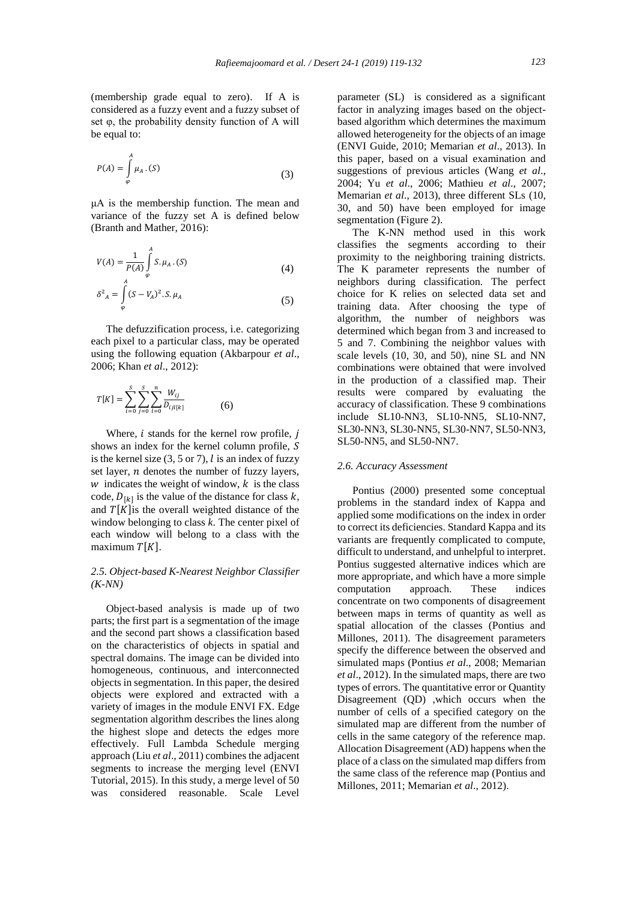(membership grade equal to zero). If A is considered as a fuzzy event and a fuzzy subset of set φ, the probability density function of A will be equal to:

$$
P(A) = \int_{\varphi}^{A} \mu_A \cdot (S) \tag{3}
$$

μA is the membership function. The mean and variance of the fuzzy set A is defined below (Branth and Mather, 2016):

$$
V(A) = \frac{1}{P(A)} \int_{\varphi}^{A} S. \mu_A . (S)
$$
 (4)

$$
\delta^2_{A} = \int_{\varphi}^{A} (S - V_A)^2 \cdot S \cdot \mu_A \tag{5}
$$

The defuzzification process, i.e. categorizing each pixel to a particular class, may be operated using the following equation (Akbarpour *et al*., 2006; Khan *et al*., 2012):

$$
T[K] = \sum_{i=0}^{S} \sum_{j=0}^{S} \sum_{l=0}^{n} \frac{W_{ij}}{D_{ijl[k]}}
$$
(6)

Where,  $i$  stands for the kernel row profile,  $j$ shows an index for the kernel column profile, S is the kernel size  $(3, 5 \text{ or } 7)$ , *l* is an index of fuzzy set layer,  $n$  denotes the number of fuzzy layers,  $w$  indicates the weight of window,  $k$  is the class code,  $D_{[k]}$  is the value of the distance for class k, and  $T[K]$  is the overall weighted distance of the window belonging to class *k*. The center pixel of each window will belong to a class with the maximum  $T[K]$ .

# *2.5. Object-based K-Nearest Neighbor Classifier (K-NN)*

Object-based analysis is made up of two parts; the first part is a segmentation of the image and the second part shows a classification based on the characteristics of objects in spatial and spectral domains. The image can be divided into homogeneous, continuous, and interconnected objects in segmentation. In this paper, the desired objects were explored and extracted with a variety of images in the module ENVI FX. Edge segmentation algorithm describes the lines along the highest slope and detects the edges more effectively. Full Lambda Schedule merging approach (Liu *et al*., 2011) combines the adjacent segments to increase the merging level (ENVI Tutorial, 2015). In this study, a merge level of 50 was considered reasonable. Scale Level

parameter (SL) is considered as a significant factor in analyzing images based on the objectbased algorithm which determines the maximum allowed heterogeneity for the objects of an image (ENVI Guide, 2010; Memarian *et al*., 2013). In this paper, based on a visual examination and suggestions of previous articles (Wang *et al*., 2004; Yu *et al*., 2006; Mathieu *et al*., 2007; Memarian *et al*., 2013), three different SLs (10, 30, and 50) have been employed for image segmentation (Figure 2).

The K-NN method used in this work classifies the segments according to their proximity to the neighboring training districts. The K parameter represents the number of neighbors during classification. The perfect choice for K relies on selected data set and training data. After choosing the type of algorithm, the number of neighbors was determined which began from 3 and increased to 5 and 7. Combining the neighbor values with scale levels (10, 30, and 50), nine SL and NN combinations were obtained that were involved in the production of a classified map. Their results were compared by evaluating the accuracy of classification. These 9 combinations include SL10-NN3, SL10-NN5, SL10-NN7, SL30-NN3, SL30-NN5, SL30-NN7, SL50-NN3, SL50-NN5, and SL50-NN7.

#### *2.6. Accuracy Assessment*

Pontius (2000) presented some conceptual problems in the standard index of Kappa and applied some modifications on the index in order to correct its deficiencies. Standard Kappa and its variants are frequently complicated to compute, difficult to understand, and unhelpful to interpret. Pontius suggested alternative indices which are more appropriate, and which have a more simple computation approach. These indices concentrate on two components of disagreement between maps in terms of quantity as well as spatial allocation of the classes (Pontius and Millones, 2011). The disagreement parameters specify the difference between the observed and simulated maps (Pontius *et al*., 2008; Memarian *et al*., 2012). In the simulated maps, there are two types of errors. The quantitative error or Quantity Disagreement (QD) ,which occurs when the number of cells of a specified category on the simulated map are different from the number of cells in the same category of the reference map. Allocation Disagreement (AD) happens when the place of a class on the simulated map differs from the same class of the reference map (Pontius and Millones, 2011; Memarian *et al*., 2012).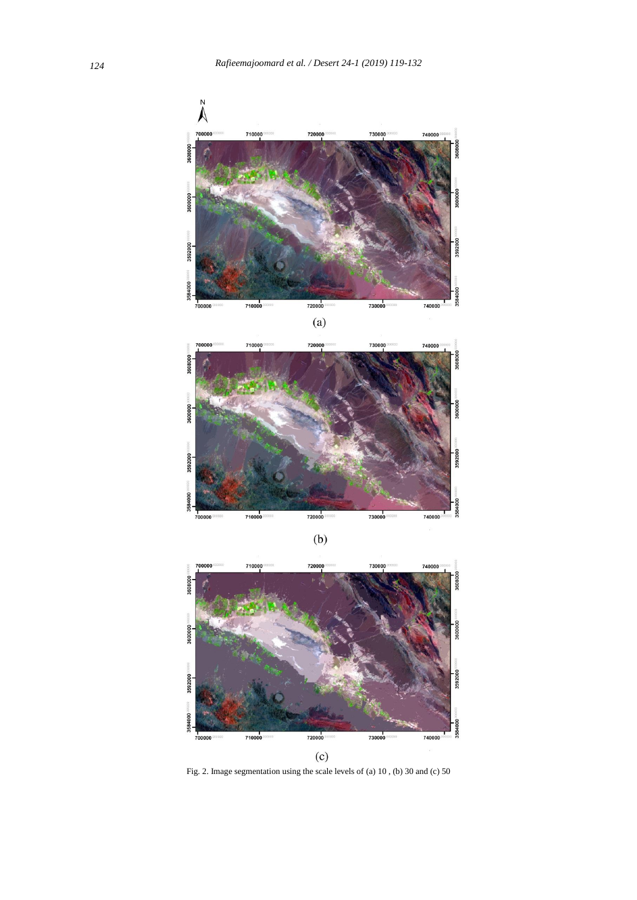

720000 710000 730000 740000

 $(b)$ 

,<br>700000



Fig. 2. Image segmentation using the scale levels of (a) 10 , (b) 30 and (c) 50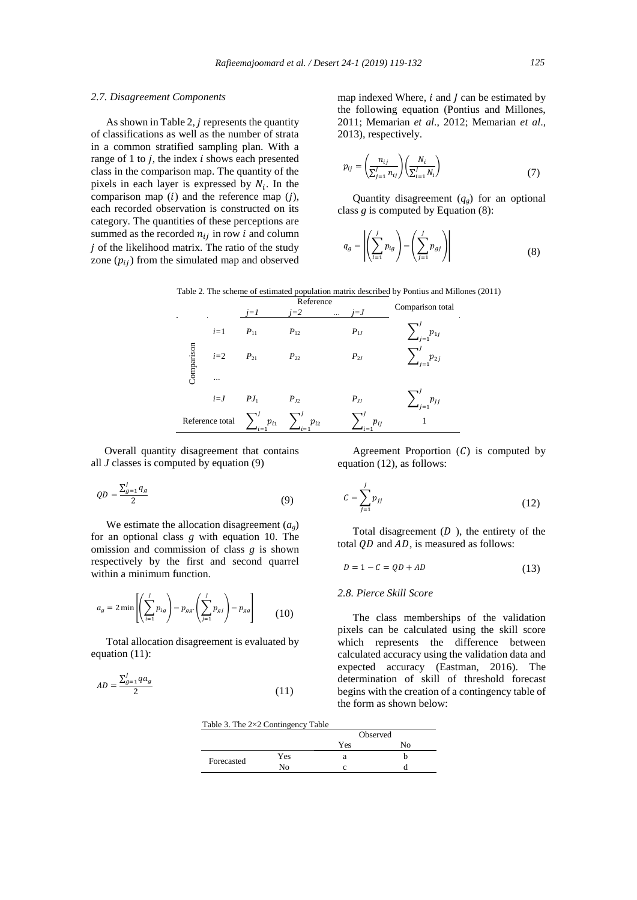#### *125*

### *2.7. Disagreement Components*

As shown in Table 2,  $j$  represents the quantity of classifications as well as the number of strata in a common stratified sampling plan. With a range of 1 to  $i$ , the index  $i$  shows each presented class in the comparison map. The quantity of the pixels in each layer is expressed by  $N_i$ . In the comparison map  $(i)$  and the reference map  $(i)$ , each recorded observation is constructed on its category. The quantities of these perceptions are summed as the recorded  $n_{ij}$  in row *i* and column  $j$  of the likelihood matrix. The ratio of the study zone  $(p_{ij})$  from the simulated map and observed

map indexed Where,  $i$  and  $j$  can be estimated by the following equation (Pontius and Millones, 2011; Memarian *et al*., 2012; Memarian *et al*., 2013), respectively.

$$
p_{ij} = \left(\frac{n_{ij}}{\sum_{j=1}^{J} n_{ij}}\right) \left(\frac{N_i}{\sum_{i=1}^{J} N_i}\right) \tag{7}
$$

Quantity disagreement  $(q_g)$  for an optional class *g* is computed by Equation (8):

$$
q_g = \left| \left( \sum_{i=1}^J p_{ig} \right) - \left( \sum_{j=1}^J p_{gj} \right) \right| \tag{8}
$$

| Table 2. The scheme of estimated population matrix described by Pontius and Millones (2011) |  |  |  |  |  |  |  |  |  |  |
|---------------------------------------------------------------------------------------------|--|--|--|--|--|--|--|--|--|--|
|---------------------------------------------------------------------------------------------|--|--|--|--|--|--|--|--|--|--|

|            |                 | $i=1$                                         | Reference<br>$i=2$<br>$\cdots$ | $j = J$  | Comparison total                                |
|------------|-----------------|-----------------------------------------------|--------------------------------|----------|-------------------------------------------------|
|            | $i=1$           | $P_{11}$                                      | $P_{12}$                       | $P_{1J}$ | $\sum_{j=1}^{J} p_{1j}$ $\sum_{i=1}^{J} p_{2j}$ |
| Comparison | $i=2$           | $P_{21}$                                      | $P_{22}$                       | $P_{2J}$ |                                                 |
|            |                 |                                               |                                |          |                                                 |
|            | $i=J$           | $PJ_1$                                        | $P_{I2}$                       | $P_{JJ}$ | $\sum'_{i,j} p_{jj}$                            |
|            | Reference total | $\sum_{i=1}^{J} p_{i1}$<br>$\blacksquare$ i=1 | $p_{i2}$                       | $p_{i}$  |                                                 |

 Overall quantity disagreement that contains all *J* classes is computed by equation (9)

$$
QD = \frac{\sum_{g=1}^{J} q_g}{2} \tag{9}
$$

We estimate the allocation disagreement  $(a<sub>o</sub>)$ for an optional class *g* with equation 10. The omission and commission of class *g* is shown respectively by the first and second quarrel within a minimum function.

$$
a_g = 2 \min \left[ \left( \sum_{i=1}^J p_{ig} \right) - p_{gg'} \left( \sum_{j=1}^J p_{gj} \right) - p_{gg'} \right] \tag{10}
$$

Total allocation disagreement is evaluated by equation (11):

$$
AD = \frac{\sum_{g=1}^{J} qa_g}{2} \tag{11}
$$

Agreement Proportion  $(C)$  is computed by equation (12), as follows:

$$
C = \sum_{j=1}^{J} p_{jj} \tag{12}
$$

Total disagreement  $(D)$ , the entirety of the total  $QD$  and  $AD$ , is measured as follows:

$$
D = 1 - C = QD + AD \tag{13}
$$

# *2.8. Pierce Skill Score*

 $\ddot{\phantom{a}}$ 

The class memberships of the validation pixels can be calculated using the skill score which represents the difference between calculated accuracy using the validation data and expected accuracy (Eastman, 2016). The determination of skill of threshold forecast begins with the creation of a contingency table of the form as shown below:

Table 3. The 2×2 Contingency Table

|            |                | Observed |    |
|------------|----------------|----------|----|
|            |                | Yes      | No |
| Forecasted | Yes            | a        |    |
|            | $\mathbf{N}_0$ |          |    |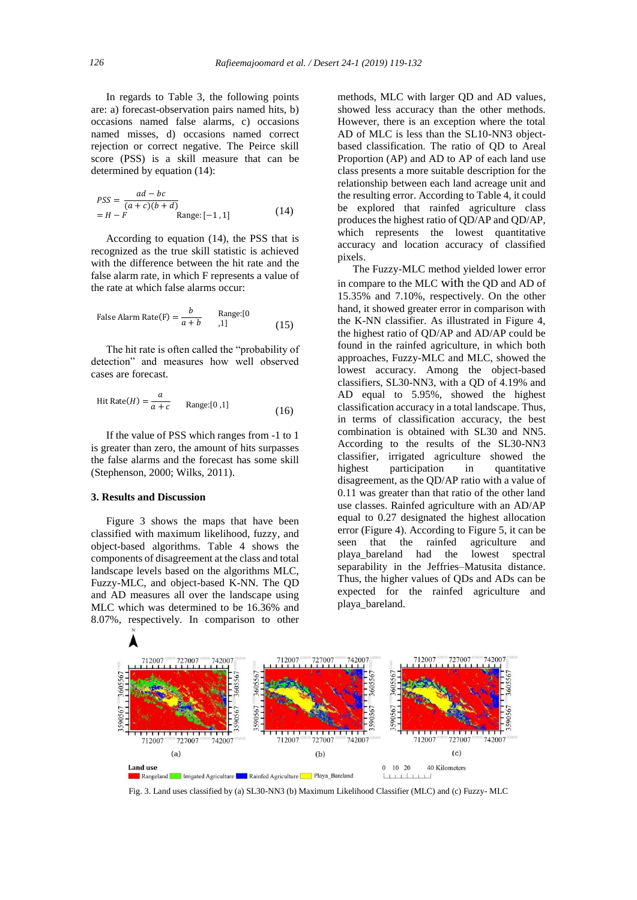In regards to Table 3, the following points are: a) forecast-observation pairs named hits, b) occasions named false alarms, c) occasions named misses, d) occasions named correct rejection or correct negative. The Peirce skill score (PSS) is a skill measure that can be determined by equation (14):

$$
PSS = \frac{ad - bc}{(a + c)(b + d)}
$$
  
=  $H - F$  Range: [-1, 1] (14)

According to equation (14), the PSS that is recognized as the true skill statistic is achieved with the difference between the hit rate and the false alarm rate, in which F represents a value of the rate at which false alarms occur:

False Alarm Rate(F) = 
$$
\frac{b}{a+b}
$$
 Range:[0  
1] (15)

The hit rate is often called the "probability of detection" and measures how well observed cases are forecast.

Hit Rate(*H*) = 
$$
\frac{a}{a+c}
$$
 Range:[0,1] (16)

If the value of PSS which ranges from -1 to 1 is greater than zero, the amount of hits surpasses the false alarms and the forecast has some skill (Stephenson, 2000; Wilks, 2011).

#### **3. Results and Discussion**

Figure 3 shows the maps that have been classified with maximum likelihood, fuzzy, and object-based algorithms. Table 4 shows the components of disagreement at the class and total landscape levels based on the algorithms MLC, Fuzzy-MLC, and object-based K-NN. The QD and AD measures all over the landscape using MLC which was determined to be 16.36% and 8.07%, respectively. In comparison to other

methods, MLC with larger QD and AD values, showed less accuracy than the other methods. However, there is an exception where the total AD of MLC is less than the SL10-NN3 objectbased classification. The ratio of QD to Areal Proportion (AP) and AD to AP of each land use class presents a more suitable description for the relationship between each land acreage unit and the resulting error. According to Table 4, it could be explored that rainfed agriculture class produces the highest ratio of QD/AP and QD/AP, which represents the lowest quantitative accuracy and location accuracy of classified pixels.

The Fuzzy-MLC method yielded lower error in compare to the MLC with the QD and AD of 15.35% and 7.10%, respectively. On the other hand, it showed greater error in comparison with the K-NN classifier. As illustrated in Figure 4, the highest ratio of QD/AP and AD/AP could be found in the rainfed agriculture, in which both approaches, Fuzzy-MLC and MLC, showed the lowest accuracy. Among the object-based classifiers, SL30-NN3, with a QD of 4.19% and AD equal to 5.95%, showed the highest classification accuracy in a total landscape. Thus, in terms of classification accuracy, the best combination is obtained with SL30 and NN5. According to the results of the SL30-NN3 classifier, irrigated agriculture showed the highest participation in quantitative disagreement, as the QD/AP ratio with a value of 0.11 was greater than that ratio of the other land use classes. Rainfed agriculture with an AD/AP equal to 0.27 designated the highest allocation error (Figure 4). According to Figure 5, it can be seen that the rainfed agriculture and playa\_bareland had the lowest spectral separability in the Jeffries–Matusita distance. Thus, the higher values of QDs and ADs can be expected for the rainfed agriculture and playa\_bareland.



Fig. 3. Land uses classified by (a) SL30-NN3 (b) Maximum Likelihood Classifier (MLC) and (c) Fuzzy- MLC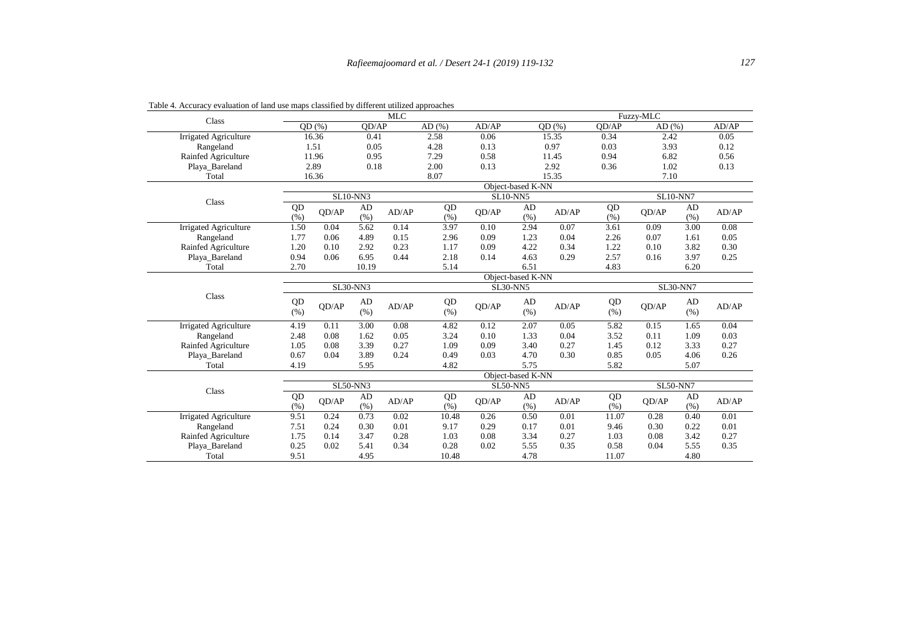| Class                        |                   |       |                 | <b>MLC</b> |       |       |                   |       |       | Fuzzy-MLC       |                 |       |
|------------------------------|-------------------|-------|-----------------|------------|-------|-------|-------------------|-------|-------|-----------------|-----------------|-------|
|                              |                   | OD(%) | OD/AP           |            | AD(%) | AD/AP |                   | OD(%) | OD/AP | AD(%)           |                 | AD/AP |
| Irrigated Agriculture        |                   | 16.36 | 0.41            |            | 2.58  | 0.06  |                   | 15.35 | 0.34  | 2.42            |                 | 0.05  |
| Rangeland                    |                   | 1.51  | 0.05            |            | 4.28  | 0.13  |                   | 0.97  | 0.03  | 3.93            |                 | 0.12  |
| Rainfed Agriculture          |                   | 11.96 | 0.95            |            | 7.29  | 0.58  |                   | 11.45 | 0.94  | 6.82            |                 | 0.56  |
| Playa_Bareland               |                   | 2.89  | 0.18            |            | 2.00  | 0.13  |                   | 2.92  | 0.36  | 1.02            |                 | 0.13  |
| Total                        |                   | 16.36 |                 |            | 8.07  |       |                   | 15.35 |       | 7.10            |                 |       |
|                              |                   |       |                 |            |       |       | Object-based K-NN |       |       |                 |                 |       |
| Class                        |                   |       | <b>SL10-NN3</b> |            |       |       | <b>SL10-NN5</b>   |       |       | <b>SL10-NN7</b> |                 |       |
|                              | QD                | QD/AP | AD              | AD/AP      | QD    | QD/AP | AD                | AD/AP | QD    | OD/AP           | AD              | AD/AP |
|                              | (% )              |       | (% )            |            | (% )  |       | (% )              |       | (% )  |                 | (% )            |       |
| Irrigated Agriculture        | 1.50              | 0.04  | 5.62            | 0.14       | 3.97  | 0.10  | 2.94              | 0.07  | 3.61  | 0.09            | 3.00            | 0.08  |
| Rangeland                    | 1.77              | 0.06  | 4.89            | 0.15       | 2.96  | 0.09  | 1.23              | 0.04  | 2.26  | 0.07            | 1.61            | 0.05  |
| Rainfed Agriculture          | 1.20              | 0.10  | 2.92            | 0.23       | 1.17  | 0.09  | 4.22              | 0.34  | 1.22  | 0.10            | 3.82            | 0.30  |
| Playa Bareland               | 0.94              | 0.06  | 6.95            | 0.44       | 2.18  | 0.14  | 4.63              | 0.29  | 2.57  | 0.16            | 3.97            | 0.25  |
| Total                        | 2.70              |       | 10.19           |            | 5.14  |       | 6.51              |       | 4.83  |                 | 6.20            |       |
|                              |                   |       |                 |            |       |       | Object-based K-NN |       |       |                 |                 |       |
|                              |                   |       | <b>SL30-NN3</b> |            |       |       | <b>SL30-NN5</b>   |       |       |                 | <b>SL30-NN7</b> |       |
| Class                        | QD                |       | AD              |            | QD    |       | AD                |       | QD    |                 | AD              |       |
|                              | (% )              | QD/AP | (% )            | AD/AP      | (% )  | OD/AP | (% )              | AD/AP | (% )  | OD/AP           | (% )            | AD/AP |
| Irrigated Agriculture        | 4.19              | 0.11  | 3.00            | 0.08       | 4.82  | 0.12  | 2.07              | 0.05  | 5.82  | 0.15            | 1.65            | 0.04  |
| Rangeland                    | 2.48              | 0.08  | 1.62            | 0.05       | 3.24  | 0.10  | 1.33              | 0.04  | 3.52  | 0.11            | 1.09            | 0.03  |
| Rainfed Agriculture          | 1.05              | 0.08  | 3.39            | 0.27       | 1.09  | 0.09  | 3.40              | 0.27  | 1.45  | 0.12            | 3.33            | 0.27  |
| Playa_Bareland               | 0.67              | 0.04  | 3.89            | 0.24       | 0.49  | 0.03  | 4.70              | 0.30  | 0.85  | 0.05            | 4.06            | 0.26  |
| Total                        | 4.19              |       | 5.95            |            | 4.82  |       | 5.75              |       | 5.82  |                 | 5.07            |       |
|                              | Object-based K-NN |       |                 |            |       |       |                   |       |       |                 |                 |       |
| Class                        |                   |       | <b>SL50-NN3</b> |            |       |       | <b>SL50-NN5</b>   |       |       | <b>SL50-NN7</b> |                 |       |
|                              | QD                | OD/AP | AD              | AD/AP      | QD    | OD/AP | AD                | AD/AP | QD    | OD/AP           | AD              | AD/AP |
|                              | (% )              |       | (% )            |            | (% )  |       | (% )              |       | (% )  |                 | (% )            |       |
| <b>Irrigated Agriculture</b> | 9.51              | 0.24  | 0.73            | 0.02       | 10.48 | 0.26  | 0.50              | 0.01  | 11.07 | 0.28            | 0.40            | 0.01  |
| Rangeland                    | 7.51              | 0.24  | 0.30            | 0.01       | 9.17  | 0.29  | 0.17              | 0.01  | 9.46  | 0.30            | 0.22            | 0.01  |
| Rainfed Agriculture          | 1.75              | 0.14  | 3.47            | 0.28       | 1.03  | 0.08  | 3.34              | 0.27  | 1.03  | 0.08            | 3.42            | 0.27  |
| Playa_Bareland               | 0.25              | 0.02  | 5.41            | 0.34       | 0.28  | 0.02  | 5.55              | 0.35  | 0.58  | 0.04            | 5.55            | 0.35  |
| Total                        | 9.51              |       | 4.95            |            | 10.48 |       | 4.78              |       | 11.07 |                 | 4.80            |       |

Table 4. Accuracy evaluation of land use maps classified by different utilized approaches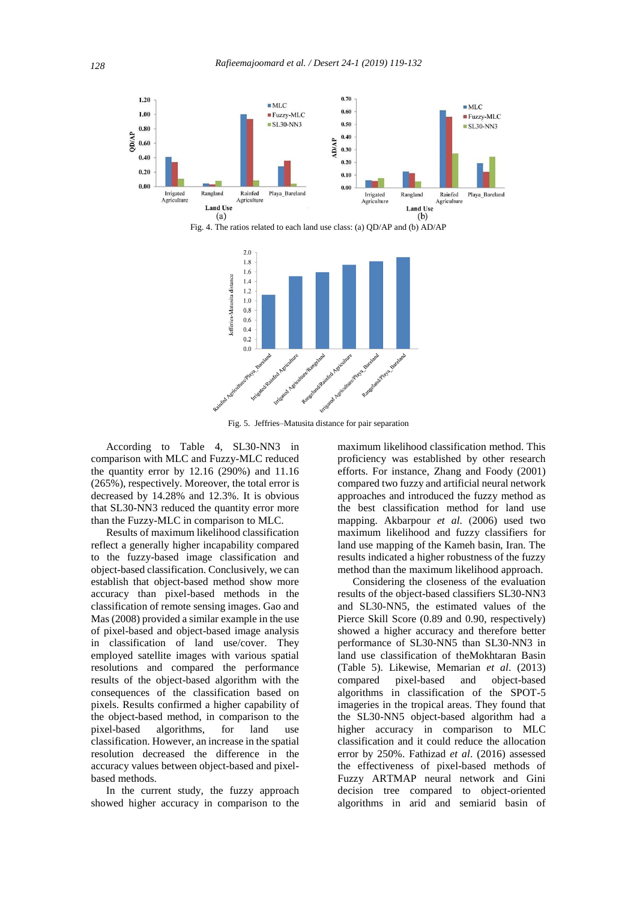





Fig. 5. Jeffries–Matusita distance for pair separation

According to Table 4, SL30-NN3 in comparison with MLC and Fuzzy-MLC reduced the quantity error by 12.16 (290%) and 11.16 (265%), respectively. Moreover, the total error is decreased by 14.28% and 12.3%. It is obvious that SL30-NN3 reduced the quantity error more than the Fuzzy-MLC in comparison to MLC.

Results of maximum likelihood classification reflect a generally higher incapability compared to the fuzzy-based image classification and object-based classification. Conclusively, we can establish that object-based method show more accuracy than pixel-based methods in the classification of remote sensing images. Gao and Mas (2008) provided a similar example in the use of pixel-based and object-based image analysis in classification of land use/cover. They employed satellite images with various spatial resolutions and compared the performance results of the object-based algorithm with the consequences of the classification based on pixels. Results confirmed a higher capability of the object-based method, in comparison to the pixel-based algorithms, for land use classification. However, an increase in the spatial resolution decreased the difference in the accuracy values between object-based and pixelbased methods.

In the current study, the fuzzy approach showed higher accuracy in comparison to the maximum likelihood classification method. This proficiency was established by other research efforts. For instance, Zhang and Foody (2001) compared two fuzzy and artificial neural network approaches and introduced the fuzzy method as the best classification method for land use mapping. Akbarpour *et al.* (2006) used two maximum likelihood and fuzzy classifiers for land use mapping of the Kameh basin, Iran. The results indicated a higher robustness of the fuzzy method than the maximum likelihood approach.

Considering the closeness of the evaluation results of the object-based classifiers SL30-NN3 and SL30-NN5, the estimated values of the Pierce Skill Score (0.89 and 0.90, respectively) showed a higher accuracy and therefore better performance of SL30-NN5 than SL30-NN3 in land use classification of theMokhtaran Basin (Table 5). Likewise, Memarian *et al*. (2013) compared pixel-based and object-based algorithms in classification of the SPOT-5 imageries in the tropical areas. They found that the SL30-NN5 object-based algorithm had a higher accuracy in comparison to MLC classification and it could reduce the allocation error by 250%. Fathizad *et al*. (2016) assessed the effectiveness of pixel-based methods of Fuzzy ARTMAP neural network and Gini decision tree compared to object-oriented algorithms in arid and semiarid basin of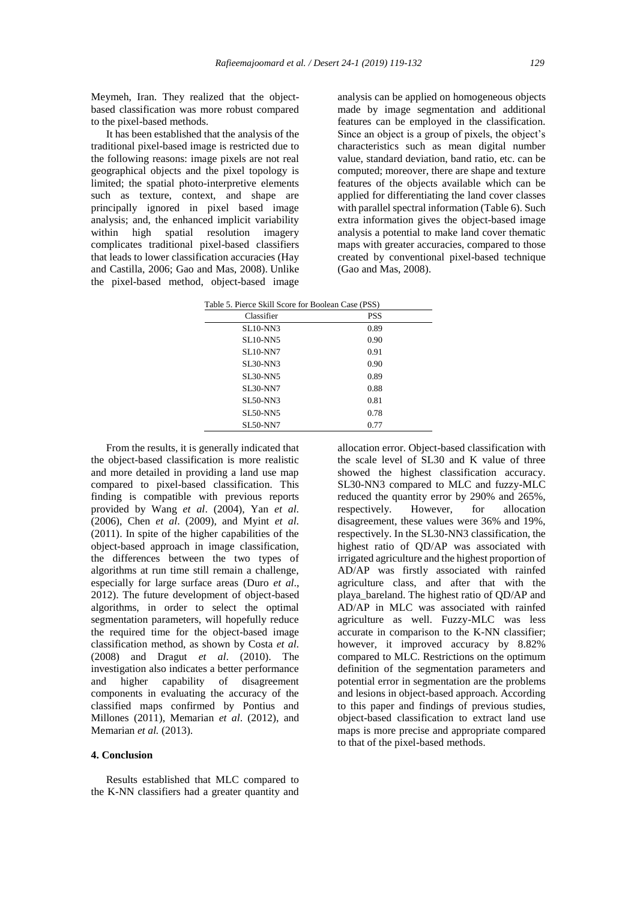Meymeh, Iran. They realized that the objectbased classification was more robust compared to the pixel-based methods.

It has been established that the analysis of the traditional pixel-based image is restricted due to the following reasons: image pixels are not real geographical objects and the pixel topology is limited; the spatial photo-interpretive elements such as texture, context, and shape are principally ignored in pixel based image analysis; and, the enhanced implicit variability within high spatial resolution imagery complicates traditional pixel-based classifiers that leads to lower classification accuracies (Hay and Castilla, 2006; Gao and Mas, 2008). Unlike the pixel-based method, object-based image

analysis can be applied on homogeneous objects made by image segmentation and additional features can be employed in the classification. Since an object is a group of pixels, the object's characteristics such as mean digital number value, standard deviation, band ratio, etc. can be computed; moreover, there are shape and texture features of the objects available which can be applied for differentiating the land cover classes with parallel spectral information (Table 6). Such extra information gives the object-based image analysis a potential to make land cover thematic maps with greater accuracies, compared to those created by conventional pixel-based technique (Gao and Mas, 2008).

| Table 5. Pierce Skill Score for Boolean Case (PSS) |
|----------------------------------------------------|
|                                                    |

| Classifier      | <b>PSS</b> |
|-----------------|------------|
| $SL10-NN3$      | 0.89       |
| <b>SL10-NN5</b> | 0.90       |
| <b>SL10-NN7</b> | 0.91       |
| <b>SL30-NN3</b> | 0.90       |
| <b>SL30-NN5</b> | 0.89       |
| <b>SL30-NN7</b> | 0.88       |
| <b>SL50-NN3</b> | 0.81       |
| <b>SL50-NN5</b> | 0.78       |
| <b>SL50-NN7</b> | 0.77       |

From the results, it is generally indicated that the object-based classification is more realistic and more detailed in providing a land use map compared to pixel-based classification. This finding is compatible with previous reports provided by Wang *et al*. (2004), Yan *et al*. (2006), Chen *et al*. (2009), and Myint *et al*. (2011). In spite of the higher capabilities of the object-based approach in image classification, the differences between the two types of algorithms at run time still remain a challenge, especially for large surface areas (Duro *et al*., 2012). The future development of object-based algorithms, in order to select the optimal segmentation parameters, will hopefully reduce the required time for the object-based image classification method, as shown by Costa *et al*. (2008) and Dragut *et al*. (2010). The investigation also indicates a better performance and higher capability of disagreement components in evaluating the accuracy of the classified maps confirmed by Pontius and Millones (2011), Memarian *et al*. (2012), and Memarian *et al.* (2013).

#### **4. Conclusion**

Results established that MLC compared to the K-NN classifiers had a greater quantity and allocation error. Object-based classification with the scale level of SL30 and K value of three showed the highest classification accuracy. SL30-NN3 compared to MLC and fuzzy-MLC reduced the quantity error by 290% and 265%, respectively. However, for allocation disagreement, these values were 36% and 19%, respectively. In the SL30-NN3 classification, the highest ratio of QD/AP was associated with irrigated agriculture and the highest proportion of AD/AP was firstly associated with rainfed agriculture class, and after that with the playa\_bareland. The highest ratio of QD/AP and AD/AP in MLC was associated with rainfed agriculture as well. Fuzzy-MLC was less accurate in comparison to the K-NN classifier; however, it improved accuracy by 8.82% compared to MLC. Restrictions on the optimum definition of the segmentation parameters and potential error in segmentation are the problems and lesions in object-based approach. According to this paper and findings of previous studies, object-based classification to extract land use maps is more precise and appropriate compared to that of the pixel-based methods.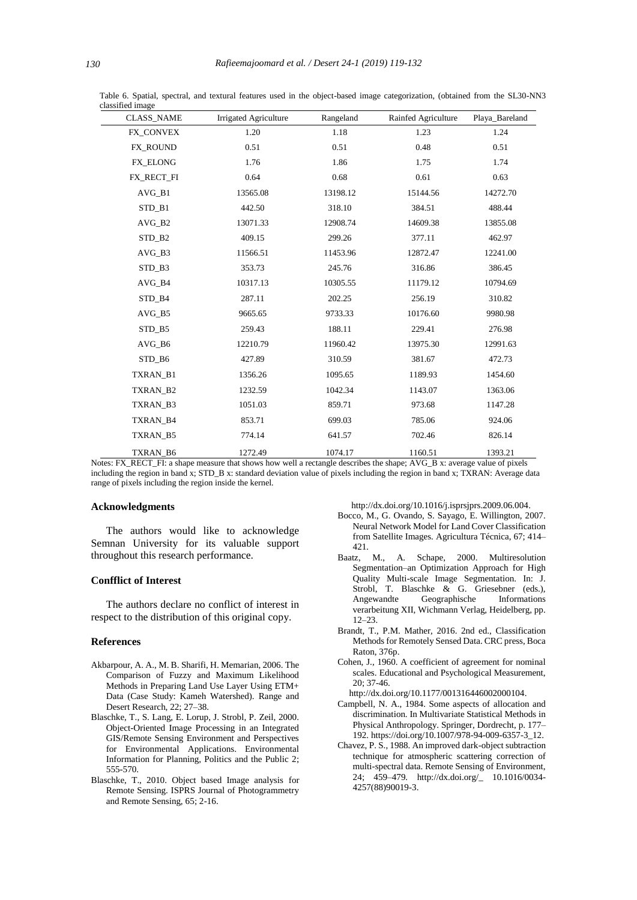| <b>CLASS_NAME</b> | <b>Irrigated Agriculture</b> | Rangeland | Rainfed Agriculture | Playa_Bareland |
|-------------------|------------------------------|-----------|---------------------|----------------|
| FX_CONVEX         | 1.20                         | 1.18      | 1.23                | 1.24           |
| <b>FX ROUND</b>   | 0.51                         | 0.51      | 0.48                | 0.51           |
| FX_ELONG          | 1.76                         | 1.86      | 1.75                | 1.74           |
| FX_RECT_FI        | 0.64                         | 0.68      | 0.61                | 0.63           |
| AVG B1            | 13565.08                     | 13198.12  | 15144.56            | 14272.70       |
| STD B1            | 442.50                       | 318.10    | 384.51              | 488.44         |
| $AVG_B2$          | 13071.33                     | 12908.74  | 14609.38            | 13855.08       |
| STD B2            | 409.15                       | 299.26    | 377.11              | 462.97         |
| AVG B3            | 11566.51                     | 11453.96  | 12872.47            | 12241.00       |
| STD_B3            | 353.73                       | 245.76    | 316.86              | 386.45         |
| AVG_B4            | 10317.13                     | 10305.55  | 11179.12            | 10794.69       |
| STD_B4            | 287.11                       | 202.25    | 256.19              | 310.82         |
| AVG B5            | 9665.65                      | 9733.33   | 10176.60            | 9980.98        |
| STD B5            | 259.43                       | 188.11    | 229.41              | 276.98         |
| AVG_B6            | 12210.79                     | 11960.42  | 13975.30            | 12991.63       |
| STD B6            | 427.89                       | 310.59    | 381.67              | 472.73         |
| TXRAN_B1          | 1356.26                      | 1095.65   | 1189.93             | 1454.60        |
| TXRAN_B2          | 1232.59                      | 1042.34   | 1143.07             | 1363.06        |
| TXRAN_B3          | 1051.03                      | 859.71    | 973.68              | 1147.28        |
| TXRAN_B4          | 853.71                       | 699.03    | 785.06              | 924.06         |
| <b>TXRAN B5</b>   | 774.14                       | 641.57    | 702.46              | 826.14         |
| TXRAN_B6          | 1272.49                      | 1074.17   | 1160.51             | 1393.21        |

 Table 6. Spatial, spectral, and textural features used in the object-based image categorization, (obtained from the SL30-NN3 classified image

Notes: FX\_RECT\_FI: a shape measure that shows how well a rectangle describes the shape; AVG\_B x: average value of pixels including the region in band x; STD\_B x: standard deviation value of pixels including the region in band x; TXRAN: Average data range of pixels including the region inside the kernel.

#### **Acknowledgments**

The authors would like to acknowledge Semnan University for its valuable support throughout this research performance.

#### **Confflict of Interest**

The authors declare no conflict of interest in respect to the distribution of this original copy.

#### **References**

- Akbarpour, A. A., M. B. Sharifi, H. Memarian, 2006. The Comparison of Fuzzy and Maximum Likelihood Methods in Preparing Land Use Layer Using ETM+ Data (Case Study: Kameh Watershed). Range and Desert Research, 22; 27–38.
- Blaschke, T., S. Lang, E. Lorup, J. Strobl, P. Zeil, 2000. Object-Oriented Image Processing in an Integrated GIS/Remote Sensing Environment and Perspectives for Environmental Applications. Environmental Information for Planning, Politics and the Public 2; 555-570.
- Blaschke, T., 2010. Object based Image analysis for Remote Sensing. ISPRS Journal of Photogrammetry and Remote Sensing, 65; 2-16.

http://dx.doi.org/10.1016/j.isprsjprs.2009.06.004.

- Bocco, M., G. Ovando, S. Sayago, E. Willington, 2007. Neural Network Model for Land Cover Classification from Satellite Images. Agricultura Técnica, 67; 414– 421.
- Baatz, M., A. Schape, 2000. Multiresolution Segmentation–an Optimization Approach for High Quality Multi-scale Image Segmentation. In: J. Strobl, T. Blaschke & G. Griesebner (eds.), Angewandte Geographische Informations verarbeitung XII, Wichmann Verlag, Heidelberg, pp. 12–23.
- Brandt, T., P.M. Mather, 2016. 2nd ed., Classification Methods for Remotely Sensed Data. CRC press, Boca Raton, 376p.
- Cohen, J., 1960. A coefficient of agreement for nominal scales. Educational and Psychological Measurement, 20; 37-46.
- http://dx.doi.org/10.1177/001316446002000104.
- Campbell, N. A., 1984. Some aspects of allocation and discrimination. In Multivariate Statistical Methods in Physical Anthropology. Springer, Dordrecht, p. 177– 192. https://doi.org/10.1007/978-94-009-6357-3\_12.
- Chavez, P. S., 1988. An improved dark-object subtraction technique for atmospheric scattering correction of multi-spectral data. Remote Sensing of Environment, 24; 459–479. http://dx.doi.org/\_ 10.1016/0034- 4257(88)90019-3.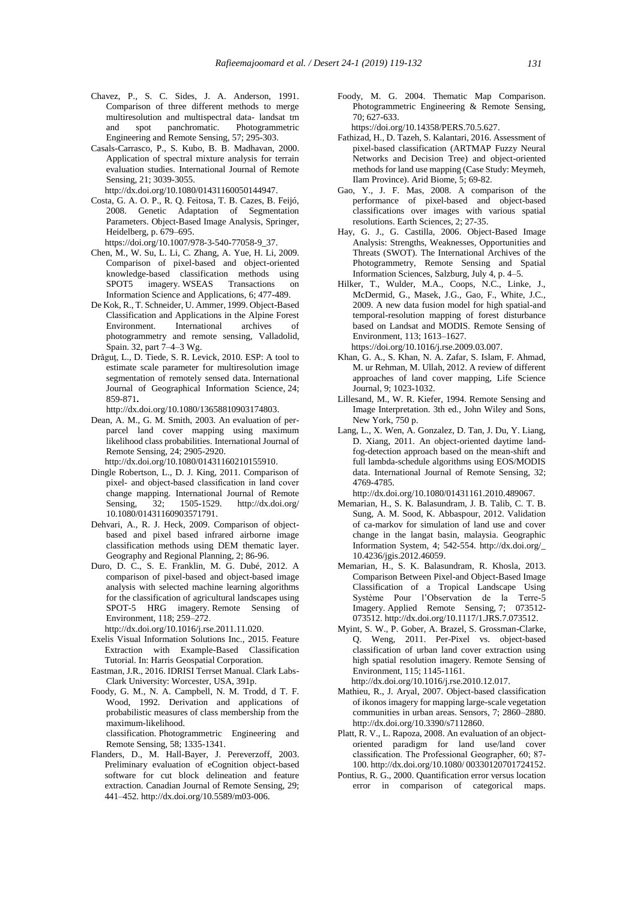- Chavez, P., S. C. Sides, J. A. Anderson, 1991. Comparison of three different methods to merge multiresolution and multispectral data- landsat tm and spot panchromatic. Photogrammetric Engineering and Remote Sensing, 57; 295-303.
- Casals-Carrasco, P., S. Kubo, B. B. Madhavan, 2000. Application of spectral mixture analysis for terrain evaluation studies. International Journal of Remote Sensing, 21; 3039-3055.

http://dx.doi.org/10.1080/01431160050144947.

- Costa, G. A. O. P., R. Q. Feitosa, T. B. Cazes, B. Feijó, 2008. Genetic Adaptation of Segmentation Parameters. Object-Based Image Analysis, Springer, Heidelberg, p. 679–695.
- https://doi.org/10.1007/978-3-540-77058-9\_37. Chen, M., W. Su, L. Li, C. Zhang, A. Yue, H. Li, 2009. Comparison of pixel-based and object-oriented knowledge-based classification methods using SPOT5 imagery. WSEAS Transactions on Information Science and Applications, 6; 477-489.
- De Kok, R., T. Schneider, U. Ammer, 1999. Object-Based Classification and Applications in the Alpine Forest Environment. International archives of photogrammetry and remote sensing, Valladolid, Spain. 32, part 7–4–3 Wg.
- Drǎguţ, L., D. Tiede, S. R. Levick, 2010. ESP: A tool to estimate scale parameter for multiresolution image segmentation of remotely sensed data. International Journal of Geographical Information Science, 24; 859-871**.**

http://dx.doi.org/10.1080/13658810903174803.

Dean, A. M., G. M. Smith, 2003. An evaluation of perparcel land cover mapping using maximum likelihood class probabilities. International Journal of Remote Sensing, 24; 2905-2920. http://dx.doi.org/10.1080/01431160210155910.

- Dingle Robertson, L., D. J. King, 2011. Comparison of pixel- and object-based classification in land cover change mapping. International Journal of Remote Sensing, 32; 1505-1529. http://dx.doi.org/ 10.1080/01431160903571791.
- Dehvari, A., R. J. Heck, 2009. Comparison of objectbased and pixel based infrared airborne image classification methods using DEM thematic layer. Geography and Regional Planning, 2; 86-96.
- Duro, D. C., S. E. Franklin, M. G. Dubé, 2012. A comparison of pixel-based and object-based image analysis with selected machine learning algorithms for the classification of agricultural landscapes using SPOT-5 HRG imagery. Remote Sensing Environment, 118; 259–272.
	- http://dx.doi.org/10.1016/j.rse.2011.11.020.
- Exelis Visual Information Solutions Inc., 2015. Feature Extraction with Example-Based Classification Tutorial. In: Harris Geospatial Corporation.
- Eastman, J.R., 2016. IDRISI Terrset Manual. Clark Labs-Clark University: Worcester, USA, 391p.
- Foody, G. M., N. A. Campbell, N. M. Trodd, d T. F. Wood, 1992. Derivation and applications of probabilistic measures of class membership from the maximum-likelihood. classification. Photogrammetric Engineering and

Remote Sensing, 58; 1335-1341.

Flanders, D., M. Hall-Bayer, J. Pereverzoff, 2003. Preliminary evaluation of eCognition object-based software for cut block delineation and feature extraction. Canadian Journal of Remote Sensing, 29; 441–452. http://dx.doi.org/10.5589/m03-006.

Foody, M. G. 2004. Thematic Map Comparison. Photogrammetric Engineering & Remote Sensing, 70; 627-633.

https://doi.org/10.14358/PERS.70.5.627.

- Fathizad, H., D. Tazeh, S. Kalantari, 2016. Assessment of pixel-based classification (ARTMAP Fuzzy Neural Networks and Decision Tree) and object-oriented methods for land use mapping (Case Study: Meymeh, Ilam Province). Arid Biome, 5; 69-82.
- Gao, Y., J. F. Mas, 2008. A comparison of the performance of pixel-based and object-based classifications over images with various spatial resolutions. Earth Sciences, 2; 27-35.
- Hay, G. J., G. Castilla, 2006. Object-Based Image Analysis: Strengths, Weaknesses, Opportunities and Threats (SWOT). The International Archives of the Photogrammetry, Remote Sensing and Spatial Information Sciences, Salzburg, July 4, p. 4–5.
- Hilker, T., Wulder, M.A., Coops, N.C., Linke, J., McDermid, G., Masek, J.G., Gao, F., White, J.C., 2009. A new data fusion model for high spatial-and temporal-resolution mapping of forest disturbance based on Landsat and MODIS. Remote Sensing of Environment, 113; 1613–1627. https://doi.org/10.1016/j.rse.2009.03.007.
- Khan, G. A., S. Khan, N. A. Zafar, S. Islam, F. Ahmad, M. ur Rehman, M. Ullah, 2012. A review of different approaches of land cover mapping, Life Science Journal, 9; 1023-1032.
- Lillesand, M., W. R. Kiefer, 1994. Remote Sensing and Image Interpretation. 3th ed., John Wiley and Sons, New York, 750 p.
- Lang, L., X. Wen, A. Gonzalez, D. Tan, J. Du, Y. Liang, D. Xiang, 2011. An object-oriented daytime landfog-detection approach based on the mean-shift and full lambda-schedule algorithms using EOS/MODIS data. International Journal of Remote Sensing, 32; 4769-4785.

http://dx.doi.org/10.1080/01431161.2010.489067.

- Memarian, H., S. K. Balasundram, J. B. Talib, C. T. B. Sung, A. M. Sood, K. Abbaspour, 2012. Validation of ca-markov for simulation of land use and cover change in the langat basin, malaysia. Geographic Information System, 4; 542-554. http://dx.doi.org/\_ 10.4236/jgis.2012.46059.
- Memarian, H., S. K. Balasundram, R. Khosla, 2013. Comparison Between Pixel-and Object-Based Image Classification of a Tropical Landscape Using Système Pour l'Observation de la Terre-5 Imagery. Applied Remote Sensing, 7; 073512- 073512. http://dx.doi.org/10.1117/1.JRS.7.073512.
- Myint, S. W., P. Gober, A. Brazel, S. Grossman-Clarke, Q. Weng, 2011. Per-Pixel vs. object-based classification of urban land cover extraction using high spatial resolution imagery. Remote Sensing of Environment, 115; 1145-1161.

http://dx.doi.org/10.1016/j.rse.2010.12.017.

- Mathieu, R., J. Aryal, 2007. Object-based classification of ikonos imagery for mapping large-scale vegetation communities in urban areas. Sensors, 7; 2860–2880. http://dx.doi.org/10.3390/s7112860.
- Platt, R. V., L. Rapoza, 2008. An evaluation of an objectoriented paradigm for land use/land cover classification. The Professional Geographer, 60; 87- 100. http://dx.doi.org/10.1080/ 00330120701724152.
- Pontius, R. G., 2000. Quantification error versus location error in comparison of categorical maps.